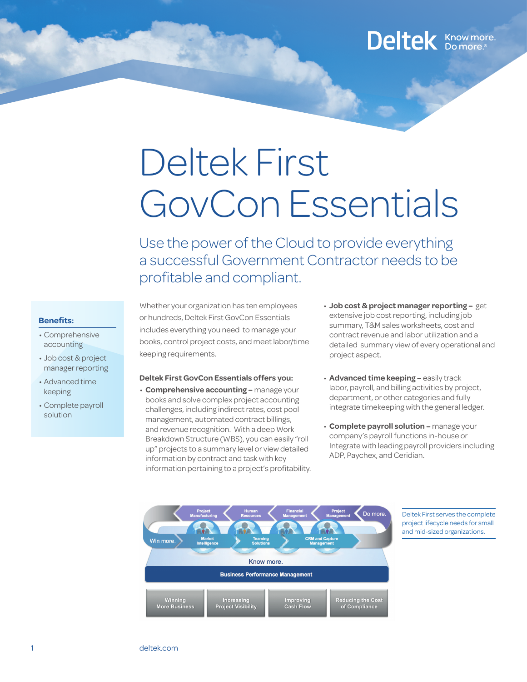### Deltek Know more.

# Deltek First GovCon Essentials

Use the power of the Cloud to provide everything a successful Government Contractor needs to be profitable and compliant.

#### **Benefits:**

- • Comprehensive accounting
- • Job cost & project manager reporting
- • Advanced time keeping
- • Complete payroll solution

Whether your organization has ten employees or hundreds, Deltek First GovCon Essentials includes everything you need to manage your books, control project costs, and meet labor/time keeping requirements.

#### **Deltek First GovCon Essentials offers you:**

- • **Comprehensive accounting** manage your books and solve complex project accounting challenges, including indirect rates, cost pool management, automated contract billings, and revenue recognition. With a deep Work Breakdown Structure (WBS), you can easily "roll up" projects to a summary level or view detailed information by contract and task with key information pertaining to a project's profitability.
- • **Job cost & project manager reporting** get extensive job cost reporting, including job summary, T&M sales worksheets, cost and contract revenue and labor utilization and a detailed summary view of every operational and project aspect.
- • **Advanced time keeping** easily track labor, payroll, and billing activities by project, department, or other categories and fully integrate timekeeping with the general ledger.
- • **Complete payroll solution** manage your company's payroll functions in-house or Integrate with leading payroll providers including ADP, Paychex, and Ceridian.



Deltek First serves the complete project lifecycle needs for small and mid-sized organizations.